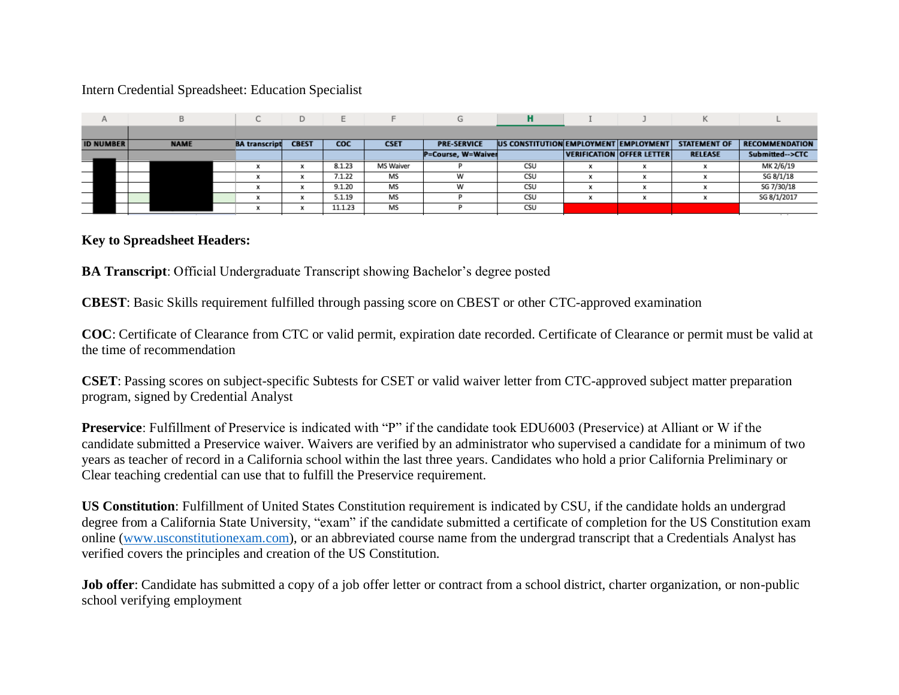## Intern Credential Spreadsheet: Education Specialist

| $\sim$           |             |                      | D            |            |             |                    |                                       |                                  | N.                  |                       |
|------------------|-------------|----------------------|--------------|------------|-------------|--------------------|---------------------------------------|----------------------------------|---------------------|-----------------------|
|                  |             |                      |              |            |             |                    |                                       |                                  |                     |                       |
| <b>ID NUMBER</b> | <b>NAME</b> | <b>BA</b> transcript | <b>CBEST</b> | <b>COC</b> | <b>CSET</b> | <b>PRE-SERVICE</b> | US CONSTITUTION EMPLOYMENT EMPLOYMENT |                                  | <b>STATEMENT OF</b> | <b>RECOMMENDATION</b> |
|                  |             |                      |              |            |             | P=Course, W=Waiver |                                       | <b>VERIFICATION OFFER LETTER</b> | <b>RELEASE</b>      | Submitted-->CTC       |
|                  |             |                      |              | 8.1.23     | MS Waiver   |                    | CSU                                   |                                  |                     | MK 2/6/19             |
|                  |             |                      |              | 7.1.22     | MS          | w                  | CSU                                   |                                  |                     | SG 8/1/18             |
|                  |             |                      |              | 9.1.20     | MS          | w                  | CSU                                   |                                  |                     | SG 7/30/18            |
|                  |             |                      |              | 5.1.19     | MS          |                    | CSU                                   |                                  |                     | SG 8/1/2017           |
|                  |             |                      |              | 11.1.23    | MS          |                    | CSU                                   |                                  |                     |                       |

## **Key to Spreadsheet Headers:**

**BA Transcript**: Official Undergraduate Transcript showing Bachelor's degree posted

**CBEST**: Basic Skills requirement fulfilled through passing score on CBEST or other CTC-approved examination

**COC**: Certificate of Clearance from CTC or valid permit, expiration date recorded. Certificate of Clearance or permit must be valid at the time of recommendation

**CSET**: Passing scores on subject-specific Subtests for CSET or valid waiver letter from CTC-approved subject matter preparation program, signed by Credential Analyst

**Preservice**: Fulfillment of Preservice is indicated with "P" if the candidate took EDU6003 (Preservice) at Alliant or W if the candidate submitted a Preservice waiver. Waivers are verified by an administrator who supervised a candidate for a minimum of two years as teacher of record in a California school within the last three years. Candidates who hold a prior California Preliminary or Clear teaching credential can use that to fulfill the Preservice requirement.

**US Constitution**: Fulfillment of United States Constitution requirement is indicated by CSU, if the candidate holds an undergrad degree from a California State University, "exam" if the candidate submitted a certificate of completion for the US Constitution exam online [\(www.usconstitutionexam.com\)](http://www.usconstitutionexam.com/), or an abbreviated course name from the undergrad transcript that a Credentials Analyst has verified covers the principles and creation of the US Constitution.

**Job offer**: Candidate has submitted a copy of a job offer letter or contract from a school district, charter organization, or non-public school verifying employment